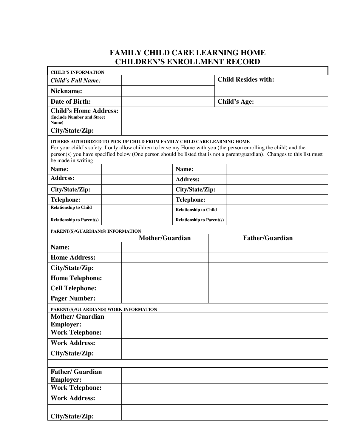## **FAMILY CHILD CARE LEARNING HOME CHILDREN'S ENROLLMENT RECORD**

| <b>CHILD'S INFORMATION</b>                                            |  |                                                                         |                                  |  |                                                                                                                                                                                                                                                |
|-----------------------------------------------------------------------|--|-------------------------------------------------------------------------|----------------------------------|--|------------------------------------------------------------------------------------------------------------------------------------------------------------------------------------------------------------------------------------------------|
| <b>Child's Full Name:</b>                                             |  |                                                                         |                                  |  | <b>Child Resides with:</b>                                                                                                                                                                                                                     |
| Nickname:                                                             |  |                                                                         |                                  |  |                                                                                                                                                                                                                                                |
| Date of Birth:                                                        |  |                                                                         |                                  |  | <b>Child's Age:</b>                                                                                                                                                                                                                            |
| <b>Child's Home Address:</b><br>(Include Number and Street)<br>Name)  |  |                                                                         |                                  |  |                                                                                                                                                                                                                                                |
| City/State/Zip:                                                       |  |                                                                         |                                  |  |                                                                                                                                                                                                                                                |
| be made in writing.                                                   |  | OTHERS AUTHORIZED TO PICK UP CHILD FROM FAMILY CHILD CARE LEARNING HOME |                                  |  | For your child's safety, I only allow children to leave my Home with you (the person enrolling the child) and the<br>person(s) you have specified below (One person should be listed that is not a parent/guardian). Changes to this list must |
| Name:                                                                 |  |                                                                         | Name:                            |  |                                                                                                                                                                                                                                                |
| <b>Address:</b>                                                       |  |                                                                         | <b>Address:</b>                  |  |                                                                                                                                                                                                                                                |
| City/State/Zip:                                                       |  |                                                                         | City/State/Zip:                  |  |                                                                                                                                                                                                                                                |
| <b>Telephone:</b>                                                     |  |                                                                         | <b>Telephone:</b>                |  |                                                                                                                                                                                                                                                |
| <b>Relationship to Child</b>                                          |  |                                                                         | <b>Relationship to Child</b>     |  |                                                                                                                                                                                                                                                |
| <b>Relationship to Parent(s)</b>                                      |  |                                                                         | <b>Relationship to Parent(s)</b> |  |                                                                                                                                                                                                                                                |
| PARENT(S)/GUARDIAN(S) INFORMATION                                     |  |                                                                         |                                  |  |                                                                                                                                                                                                                                                |
|                                                                       |  | <b>Mother/Guardian</b>                                                  |                                  |  | <b>Father/Guardian</b>                                                                                                                                                                                                                         |
| Name:                                                                 |  |                                                                         |                                  |  |                                                                                                                                                                                                                                                |
| <b>Home Address:</b>                                                  |  |                                                                         |                                  |  |                                                                                                                                                                                                                                                |
| City/State/Zip:                                                       |  |                                                                         |                                  |  |                                                                                                                                                                                                                                                |
| <b>Home Telephone:</b>                                                |  |                                                                         |                                  |  |                                                                                                                                                                                                                                                |
| <b>Cell Telephone:</b>                                                |  |                                                                         |                                  |  |                                                                                                                                                                                                                                                |
| <b>Pager Number:</b>                                                  |  |                                                                         |                                  |  |                                                                                                                                                                                                                                                |
| PARENT(S)/GUARDIAN(S) WORK INFORMATION                                |  |                                                                         |                                  |  |                                                                                                                                                                                                                                                |
| <b>Mother/ Guardian</b>                                               |  |                                                                         |                                  |  |                                                                                                                                                                                                                                                |
| <b>Employer:</b><br><b>Work Telephone:</b>                            |  |                                                                         |                                  |  |                                                                                                                                                                                                                                                |
| <b>Work Address:</b>                                                  |  |                                                                         |                                  |  |                                                                                                                                                                                                                                                |
|                                                                       |  |                                                                         |                                  |  |                                                                                                                                                                                                                                                |
| City/State/Zip:                                                       |  |                                                                         |                                  |  |                                                                                                                                                                                                                                                |
| <b>Father/ Guardian</b><br><b>Employer:</b><br><b>Work Telephone:</b> |  |                                                                         |                                  |  |                                                                                                                                                                                                                                                |
| <b>Work Address:</b>                                                  |  |                                                                         |                                  |  |                                                                                                                                                                                                                                                |
| City/State/Zip:                                                       |  |                                                                         |                                  |  |                                                                                                                                                                                                                                                |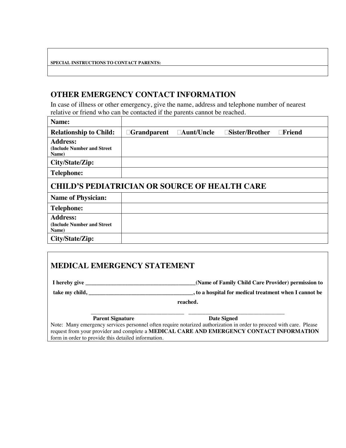#### **SPECIAL INSTRUCTIONS TO CONTACT PARENTS:**

## **OTHER EMERGENCY CONTACT INFORMATION**

In case of illness or other emergency, give the name, address and telephone number of nearest relative or friend who can be contacted if the parents cannot be reached.

| Name:                                                   |                    |                   |                          |               |  |  |
|---------------------------------------------------------|--------------------|-------------------|--------------------------|---------------|--|--|
| <b>Relationship to Child:</b>                           | $\Box$ Grandparent | $\Box$ Aunt/Uncle | $\square$ Sister/Brother | $\Box$ Friend |  |  |
| <b>Address:</b><br>(Include Number and Street)<br>Name) |                    |                   |                          |               |  |  |
| City/State/Zip:                                         |                    |                   |                          |               |  |  |
| <b>Telephone:</b>                                       |                    |                   |                          |               |  |  |
| <b>CHILD'S PEDIATRICIAN OR SOURCE OF HEALTH CARE</b>    |                    |                   |                          |               |  |  |
| <b>Name of Physician:</b>                               |                    |                   |                          |               |  |  |
| <b>Telephone:</b>                                       |                    |                   |                          |               |  |  |
| <b>Address:</b><br>(Include Number and Street)<br>Name) |                    |                   |                          |               |  |  |
| City/State/Zip:                                         |                    |                   |                          |               |  |  |

## **MEDICAL EMERGENCY STATEMENT**

**I hereby give \_\_\_\_\_\_\_\_\_\_\_\_\_\_\_\_\_\_\_\_\_\_\_\_\_\_\_\_\_\_\_\_\_\_\_\_\_\_\_(Name of Family Child Care Provider) permission to take my child, \_\_\_\_\_\_\_\_\_\_\_\_\_\_\_\_\_\_\_\_\_\_\_\_\_\_\_\_\_\_\_\_\_\_\_\_\_, to a hospital for medical treatment when I cannot be**

**reached.**

\_\_\_\_\_\_\_\_\_\_\_\_\_\_\_\_\_\_\_\_\_\_\_\_\_\_\_\_\_\_\_\_\_ \_\_\_\_\_\_\_\_\_\_\_\_\_\_\_\_\_\_\_\_\_\_\_\_\_\_\_\_\_\_\_\_\_\_ **Parent Signature Date Signed** 

Note: Many emergency services personnel often require notarized authorization in order to proceed with care. Please request from your provider and complete a **MEDICAL CARE AND EMERGENCY CONTACT INFORMATION** form in order to provide this detailed information.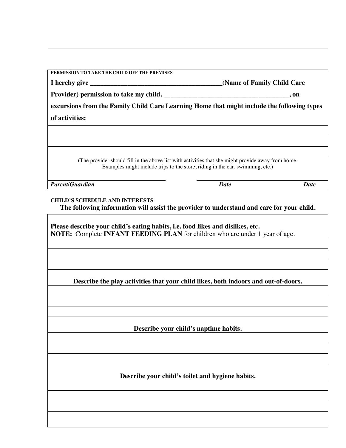| PERMISSION TO TAKE THE CHILD OFF THE PREMISES                                                                                                                                       |                            |             |
|-------------------------------------------------------------------------------------------------------------------------------------------------------------------------------------|----------------------------|-------------|
|                                                                                                                                                                                     | (Name of Family Child Care |             |
|                                                                                                                                                                                     | , on                       |             |
| excursions from the Family Child Care Learning Home that might include the following types                                                                                          |                            |             |
| of activities:                                                                                                                                                                      |                            |             |
|                                                                                                                                                                                     |                            |             |
|                                                                                                                                                                                     |                            |             |
|                                                                                                                                                                                     |                            |             |
| (The provider should fill in the above list with activities that she might provide away from home.<br>Examples might include trips to the store, riding in the car, swimming, etc.) |                            |             |
| <b>Parent/Guardian</b>                                                                                                                                                              | <b>Date</b>                | <b>Date</b> |
| <b>CHILD'S SCHEDULE AND INTERESTS</b>                                                                                                                                               |                            |             |
| The following information will assist the provider to understand and care for your child.                                                                                           |                            |             |
|                                                                                                                                                                                     |                            |             |
| Please describe your child's eating habits, i.e. food likes and dislikes, etc.                                                                                                      |                            |             |
| <b>NOTE:</b> Complete <b>INFANT FEEDING PLAN</b> for children who are under 1 year of age.                                                                                          |                            |             |
|                                                                                                                                                                                     |                            |             |
|                                                                                                                                                                                     |                            |             |
|                                                                                                                                                                                     |                            |             |
|                                                                                                                                                                                     |                            |             |
| Describe the play activities that your child likes, both indoors and out-of-doors.                                                                                                  |                            |             |
|                                                                                                                                                                                     |                            |             |
|                                                                                                                                                                                     |                            |             |
|                                                                                                                                                                                     |                            |             |
| Describe your child's naptime habits.                                                                                                                                               |                            |             |
|                                                                                                                                                                                     |                            |             |
|                                                                                                                                                                                     |                            |             |
|                                                                                                                                                                                     |                            |             |
|                                                                                                                                                                                     |                            |             |
| Describe your child's toilet and hygiene habits.                                                                                                                                    |                            |             |
|                                                                                                                                                                                     |                            |             |
|                                                                                                                                                                                     |                            |             |
|                                                                                                                                                                                     |                            |             |
|                                                                                                                                                                                     |                            |             |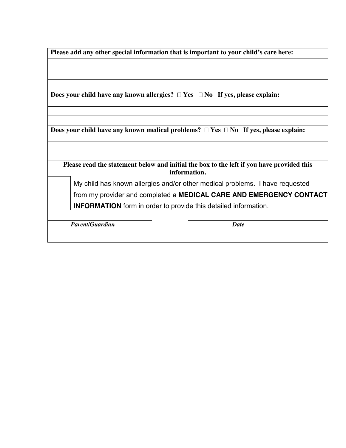|  |  |  |  | Please add any other special information that is important to your child's care here: |  |
|--|--|--|--|---------------------------------------------------------------------------------------|--|
|  |  |  |  |                                                                                       |  |

**Does your child have any known allergies?**  $\Box$  **Yes**  $\Box$  **No** If yes, please explain:

**Does your child have any known medical problems?**  $\Box$  **Yes**  $\Box$  **No** If yes, please explain:

**Please read the statement below and initial the box to the left if you have provided this information.**

My child has known allergies and/or other medical problems. I have requested from my provider and completed a **MEDICAL CARE AND EMERGENCY CONTACT INFORMATION** form in order to provide this detailed information.

*Parent/Guardian Date*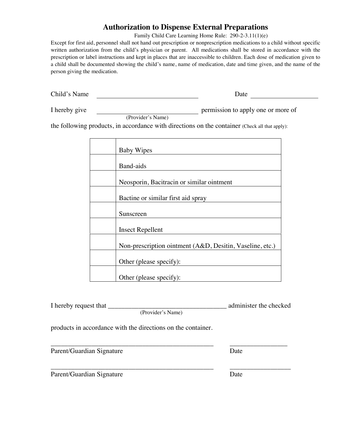### **Authorization to Dispense External Preparations**

Family Child Care Learning Home Rule: 290-2-3.11(1)(e)

Except for first aid, personnel shall not hand out prescription or nonprescription medications to a child without specific written authorization from the child's physician or parent. All medications shall be stored in accordance with the prescription or label instructions and kept in places that are inaccessible to children. Each dose of medication given to a child shall be documented showing the child's name, name of medication, date and time given, and the name of the person giving the medication.

Child's Name Date Date

(Provider's Name)

I hereby give permission to apply one or more of

the following products, in accordance with directions on the container (Check all that apply):

| <b>Baby Wipes</b>                                        |
|----------------------------------------------------------|
|                                                          |
| Band-aids                                                |
|                                                          |
| Neosporin, Bacitracin or similar ointment                |
|                                                          |
| Bactine or similar first aid spray                       |
|                                                          |
| Sunscreen                                                |
|                                                          |
| <b>Insect Repellent</b>                                  |
|                                                          |
| Non-prescription ointment (A&D, Desitin, Vaseline, etc.) |
|                                                          |
| Other (please specify):                                  |
|                                                          |
| Other (please specify):                                  |

(Provider's Name)

products in accordance with the directions on the container.

\_\_\_\_\_\_\_\_\_\_\_\_\_\_\_\_\_\_\_\_\_\_\_\_\_\_\_\_\_\_\_\_\_\_\_\_\_\_\_\_\_\_\_\_\_\_\_\_ \_\_\_\_\_\_\_\_\_\_\_\_\_\_\_\_\_ Parent/Guardian Signature Date

Parent/Guardian Signature Date

administer the checked

\_\_\_\_\_\_\_\_\_\_\_\_\_\_\_\_\_\_\_\_\_\_\_\_\_\_\_\_\_\_\_\_\_\_\_\_\_\_\_\_\_\_\_\_\_\_\_\_ \_\_\_\_\_\_\_\_\_\_\_\_\_\_\_\_\_\_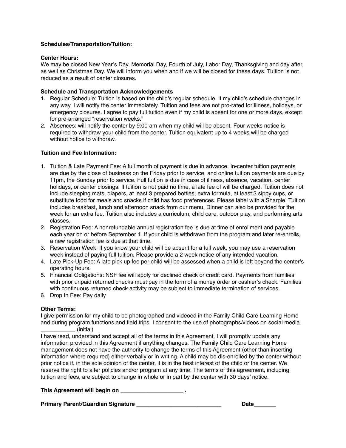#### **Schedules/Transportation/Tuition:**

#### **Center Hours:**

We may be closed New Year's Day, Memorial Day, Fourth of July, Labor Day, Thanksgiving and day after, as well as Christmas Day. We will inform you when and if we will be closed for these days. Tuition is not reduced as a result of center closures.

#### **Schedule and Transportation Acknowledgements**

- 1. Regular Schedule: Tuition is based on the child's regular schedule. If my child's schedule changes in any way, I will notify the center immediately. Tuition and fees are not pro-rated for illness, holidays, or emergency closures. I agree to pay full tuition even if my child is absent for one or more days, except for pre-arranged "reservation weeks."
- 2. Absences: will notify the center by 9:00 am when my child will be absent. Four weeks notice is required to withdraw your child from the center. Tuition equivalent up to 4 weeks will be charged without notice to withdraw.

#### **Tuition and Fee Information:**

- 1. Tuition & Late Payment Fee: A full month of payment is due in advance. In-center tuition payments are due by the close of business on the Friday prior to service, and online tuition payments are due by 11pm, the Sunday prior to service. Full tuition is due in case of illness, absence, vacation, center holidays, or center closings. If tuition is not paid no time, a late fee of will be charged. Tuition does not include sleeping mats, diapers, at least 3 prepared bottles, extra formula, at least 3 sippy cups, or substitute food for meals and snacks if child has food preferences. Please label with a Sharpie. Tuition includes breakfast, lunch and afternoon snack from our menu. Dinner can also be provided for the week for an extra fee. Tuition also includes a curriculum, child care, outdoor play, and performing arts classes.
- 2. Registration Fee: A nonrefundable annual registration fee is due at time of enrollment and payable each year on or before September 1. If your child is withdrawn from the program and later re-enrolls, a new registration fee is due at that time.
- 3. Reservation Week: If you know your child will be absent for a full week, you may use a reservation week instead of paying full tuition. Please provide a 2 week notice of any intended vacation.
- 4. Late Pick-Up Fee: A late pick up fee per child will be assessed when a child is left beyond the center's operating hours.
- 5. Financial Obligations: NSF fee will apply for declined check or credit card. Payments from families with prior unpaid returned checks must pay in the form of a money order or cashier's check. Families with continuous returned check activity may be subject to immediate termination of services.
- 6. Drop In Fee: Pay daily

#### **Other Terms:**

I give permission for my child to be photographed and videoed in the Family Child Care Learning Home and during program functions and field trips. I consent to the use of photographs/videos on social media. \_\_\_\_\_\_\_\_\_\_\_ (initial)

I have read, understand and accept all of the terms in this Agreement. I will promptly update any information provided in this Agreement if anything changes. The Family Child Care Learning Home management does not have the authority to change the terms of this Agreement (other than inserting information where required) either verbally or in writing. A child may be dis-enrolled by the center without prior notice if, in the sole opinion of the center, it is in the best interest of the child or the center. We reserve the right to alter policies and/or program at any time. The terms of this agreement, including tuition and fees, are subject to change in whole or in part by the center with 30 days' notice.

This Agreement will begin on **and the set of the set of the set of the set of the set of the set of the set of the set of the set of the set of the set of the set of the set of the set of the set of the set of the set of t** 

**Primary Parent/Guardian Signature \_\_\_\_\_\_\_\_\_\_\_\_\_\_\_\_\_\_\_\_\_\_\_\_\_\_\_ Date\_\_\_\_\_\_\_**